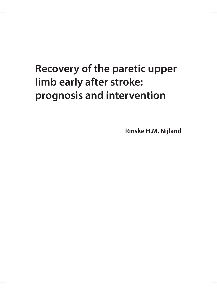# **Recovery of the paretic upper limb early after stroke: prognosis and intervention**

**Rinske H.M. Nijland**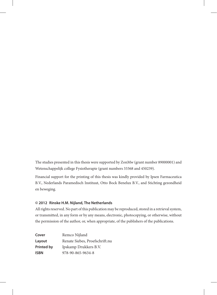The studies presented in this thesis were supported by ZonMw (grant number 89000001) and Wetenschappelijk college Fysiotherapie (grant numbers 33368 and 450239).

Financial support for the printing of this thesis was kindly provided by Ipsen Farmaceutica B.V., Nederlands Paramedisch Instituut, Otto Bock Benelux B.V., and Stichting gezondheid en beweging.

#### **© 2012 Rinske H.M. Nijland, The Netherlands**

All rights reserved. No part of this publication may be reproduced, stored in a retrieval system, or transmitted, in any form or by any means, electronic, photocopying, or otherwise, without the permission of the author, or, when appropriate, of the publishers of the publications.

| Cover      | Remco Nijland                  |
|------------|--------------------------------|
| Layout     | Renate Siebes, Proefschrift.nu |
| Printed by | Ipskamp Drukkers B.V.          |
| ISBN       | 978-90-865-9634-8              |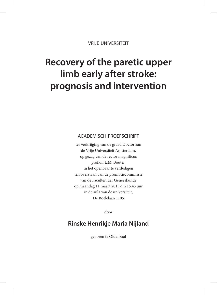vrije universiteit

## **Recovery of the paretic upper limb early after stroke: prognosis and intervention**

### academisch proefschrift

ter verkrijging van de graad Doctor aan de Vrije Universiteit Amsterdam, op gezag van de rector magnificus prof.dr. L.M. Bouter, in het openbaar te verdedigen ten overstaan van de promotiecommissie van de Faculteit der Geneeskunde op maandag 11 maart 2013 om 15.45 uur in de aula van de universiteit, De Boelelaan 1105

door

### **Rinske Henrikje Maria Nijland**

geboren te Oldenzaal